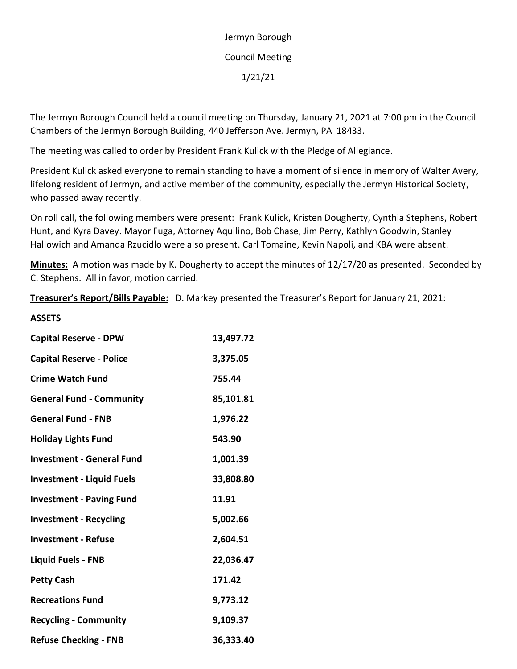# Jermyn Borough Council Meeting 1/21/21

The Jermyn Borough Council held a council meeting on Thursday, January 21, 2021 at 7:00 pm in the Council Chambers of the Jermyn Borough Building, 440 Jefferson Ave. Jermyn, PA 18433.

The meeting was called to order by President Frank Kulick with the Pledge of Allegiance.

President Kulick asked everyone to remain standing to have a moment of silence in memory of Walter Avery, lifelong resident of Jermyn, and active member of the community, especially the Jermyn Historical Society, who passed away recently.

On roll call, the following members were present: Frank Kulick, Kristen Dougherty, Cynthia Stephens, Robert Hunt, and Kyra Davey. Mayor Fuga, Attorney Aquilino, Bob Chase, Jim Perry, Kathlyn Goodwin, Stanley Hallowich and Amanda Rzucidlo were also present. Carl Tomaine, Kevin Napoli, and KBA were absent.

**Minutes:** A motion was made by K. Dougherty to accept the minutes of 12/17/20 as presented. Seconded by C. Stephens. All in favor, motion carried.

**Treasurer's Report/Bills Payable:** D. Markey presented the Treasurer's Report for January 21, 2021:

| <b>ASSETS</b>                    |           |
|----------------------------------|-----------|
| <b>Capital Reserve - DPW</b>     | 13,497.72 |
| <b>Capital Reserve - Police</b>  | 3,375.05  |
| <b>Crime Watch Fund</b>          | 755.44    |
| <b>General Fund - Community</b>  | 85,101.81 |
| <b>General Fund - FNB</b>        | 1,976.22  |
| <b>Holiday Lights Fund</b>       | 543.90    |
| <b>Investment - General Fund</b> | 1,001.39  |
| <b>Investment - Liquid Fuels</b> | 33,808.80 |
| <b>Investment - Paving Fund</b>  | 11.91     |
| <b>Investment - Recycling</b>    | 5,002.66  |
| <b>Investment - Refuse</b>       | 2,604.51  |
| <b>Liquid Fuels - FNB</b>        | 22,036.47 |
| <b>Petty Cash</b>                | 171.42    |
| <b>Recreations Fund</b>          | 9,773.12  |
| <b>Recycling - Community</b>     | 9,109.37  |
| <b>Refuse Checking - FNB</b>     | 36,333.40 |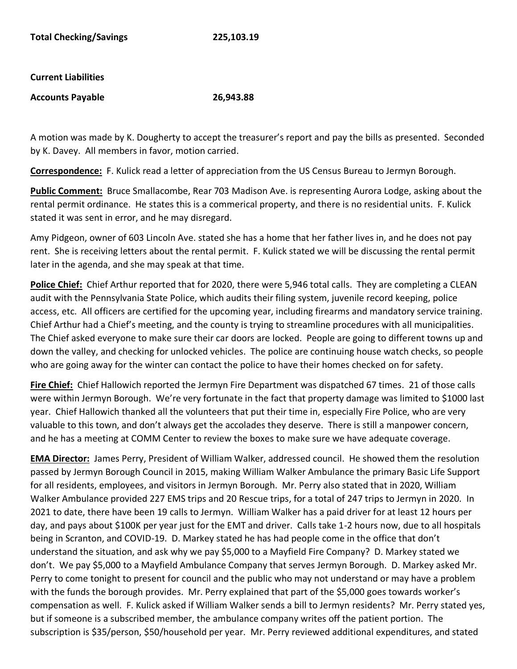#### **Current Liabilities**

#### **Accounts Payable 26,943.88**

A motion was made by K. Dougherty to accept the treasurer's report and pay the bills as presented. Seconded by K. Davey. All members in favor, motion carried.

**Correspondence:** F. Kulick read a letter of appreciation from the US Census Bureau to Jermyn Borough.

**Public Comment:** Bruce Smallacombe, Rear 703 Madison Ave. is representing Aurora Lodge, asking about the rental permit ordinance. He states this is a commerical property, and there is no residential units. F. Kulick stated it was sent in error, and he may disregard.

Amy Pidgeon, owner of 603 Lincoln Ave. stated she has a home that her father lives in, and he does not pay rent. She is receiving letters about the rental permit. F. Kulick stated we will be discussing the rental permit later in the agenda, and she may speak at that time.

**Police Chief:** Chief Arthur reported that for 2020, there were 5,946 total calls. They are completing a CLEAN audit with the Pennsylvania State Police, which audits their filing system, juvenile record keeping, police access, etc. All officers are certified for the upcoming year, including firearms and mandatory service training. Chief Arthur had a Chief's meeting, and the county is trying to streamline procedures with all municipalities. The Chief asked everyone to make sure their car doors are locked. People are going to different towns up and down the valley, and checking for unlocked vehicles. The police are continuing house watch checks, so people who are going away for the winter can contact the police to have their homes checked on for safety.

**Fire Chief:** Chief Hallowich reported the Jermyn Fire Department was dispatched 67 times. 21 of those calls were within Jermyn Borough. We're very fortunate in the fact that property damage was limited to \$1000 last year. Chief Hallowich thanked all the volunteers that put their time in, especially Fire Police, who are very valuable to this town, and don't always get the accolades they deserve. There is still a manpower concern, and he has a meeting at COMM Center to review the boxes to make sure we have adequate coverage.

**EMA Director:** James Perry, President of William Walker, addressed council. He showed them the resolution passed by Jermyn Borough Council in 2015, making William Walker Ambulance the primary Basic Life Support for all residents, employees, and visitors in Jermyn Borough. Mr. Perry also stated that in 2020, William Walker Ambulance provided 227 EMS trips and 20 Rescue trips, for a total of 247 trips to Jermyn in 2020. In 2021 to date, there have been 19 calls to Jermyn. William Walker has a paid driver for at least 12 hours per day, and pays about \$100K per year just for the EMT and driver. Calls take 1-2 hours now, due to all hospitals being in Scranton, and COVID-19. D. Markey stated he has had people come in the office that don't understand the situation, and ask why we pay \$5,000 to a Mayfield Fire Company? D. Markey stated we don't. We pay \$5,000 to a Mayfield Ambulance Company that serves Jermyn Borough. D. Markey asked Mr. Perry to come tonight to present for council and the public who may not understand or may have a problem with the funds the borough provides. Mr. Perry explained that part of the \$5,000 goes towards worker's compensation as well. F. Kulick asked if William Walker sends a bill to Jermyn residents? Mr. Perry stated yes, but if someone is a subscribed member, the ambulance company writes off the patient portion. The subscription is \$35/person, \$50/household per year. Mr. Perry reviewed additional expenditures, and stated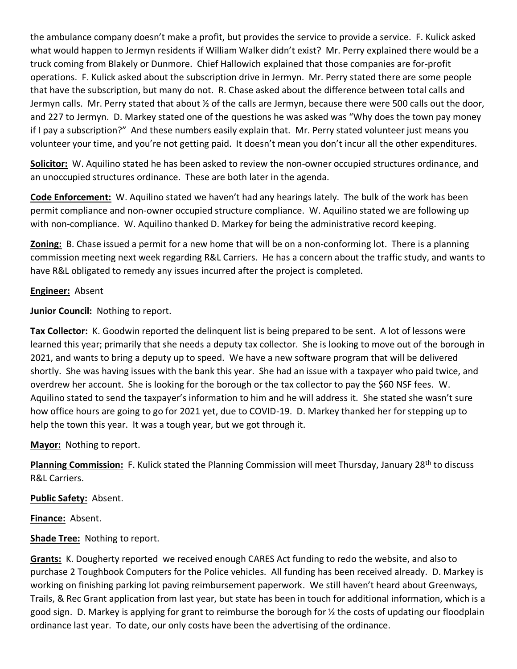the ambulance company doesn't make a profit, but provides the service to provide a service. F. Kulick asked what would happen to Jermyn residents if William Walker didn't exist? Mr. Perry explained there would be a truck coming from Blakely or Dunmore. Chief Hallowich explained that those companies are for-profit operations. F. Kulick asked about the subscription drive in Jermyn. Mr. Perry stated there are some people that have the subscription, but many do not. R. Chase asked about the difference between total calls and Jermyn calls. Mr. Perry stated that about ½ of the calls are Jermyn, because there were 500 calls out the door, and 227 to Jermyn. D. Markey stated one of the questions he was asked was "Why does the town pay money if I pay a subscription?" And these numbers easily explain that. Mr. Perry stated volunteer just means you volunteer your time, and you're not getting paid. It doesn't mean you don't incur all the other expenditures.

**Solicitor:** W. Aquilino stated he has been asked to review the non-owner occupied structures ordinance, and an unoccupied structures ordinance. These are both later in the agenda.

**Code Enforcement:** W. Aquilino stated we haven't had any hearings lately. The bulk of the work has been permit compliance and non-owner occupied structure compliance. W. Aquilino stated we are following up with non-compliance. W. Aquilino thanked D. Markey for being the administrative record keeping.

**Zoning:** B. Chase issued a permit for a new home that will be on a non-conforming lot. There is a planning commission meeting next week regarding R&L Carriers. He has a concern about the traffic study, and wants to have R&L obligated to remedy any issues incurred after the project is completed.

### **Engineer:** Absent

**Junior Council:** Nothing to report.

**Tax Collector:** K. Goodwin reported the delinquent list is being prepared to be sent. A lot of lessons were learned this year; primarily that she needs a deputy tax collector. She is looking to move out of the borough in 2021, and wants to bring a deputy up to speed. We have a new software program that will be delivered shortly. She was having issues with the bank this year. She had an issue with a taxpayer who paid twice, and overdrew her account. She is looking for the borough or the tax collector to pay the \$60 NSF fees. W. Aquilino stated to send the taxpayer's information to him and he will address it. She stated she wasn't sure how office hours are going to go for 2021 yet, due to COVID-19. D. Markey thanked her for stepping up to help the town this year. It was a tough year, but we got through it.

## **Mayor:** Nothing to report.

**Planning Commission:** F. Kulick stated the Planning Commission will meet Thursday, January 28<sup>th</sup> to discuss R&L Carriers.

**Public Safety:** Absent.

**Finance:** Absent.

**Shade Tree:** Nothing to report.

**Grants:** K. Dougherty reported we received enough CARES Act funding to redo the website, and also to purchase 2 Toughbook Computers for the Police vehicles. All funding has been received already. D. Markey is working on finishing parking lot paving reimbursement paperwork. We still haven't heard about Greenways, Trails, & Rec Grant application from last year, but state has been in touch for additional information, which is a good sign. D. Markey is applying for grant to reimburse the borough for ½ the costs of updating our floodplain ordinance last year. To date, our only costs have been the advertising of the ordinance.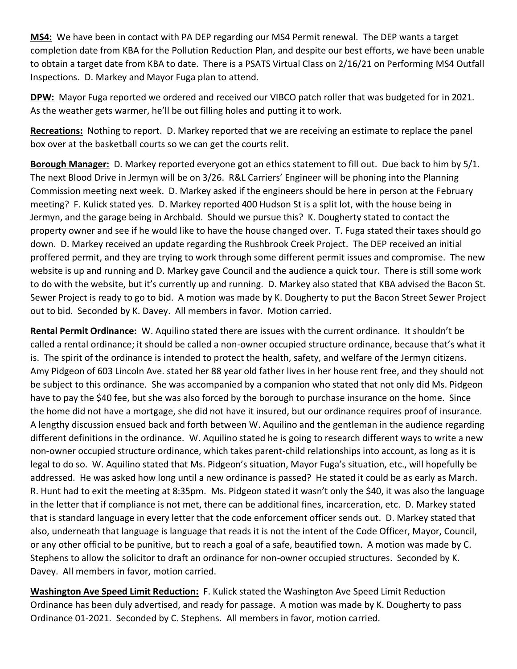**MS4:** We have been in contact with PA DEP regarding our MS4 Permit renewal. The DEP wants a target completion date from KBA for the Pollution Reduction Plan, and despite our best efforts, we have been unable to obtain a target date from KBA to date. There is a PSATS Virtual Class on 2/16/21 on Performing MS4 Outfall Inspections. D. Markey and Mayor Fuga plan to attend.

**DPW:** Mayor Fuga reported we ordered and received our VIBCO patch roller that was budgeted for in 2021. As the weather gets warmer, he'll be out filling holes and putting it to work.

**Recreations:** Nothing to report. D. Markey reported that we are receiving an estimate to replace the panel box over at the basketball courts so we can get the courts relit.

**Borough Manager:** D. Markey reported everyone got an ethics statement to fill out. Due back to him by 5/1. The next Blood Drive in Jermyn will be on 3/26. R&L Carriers' Engineer will be phoning into the Planning Commission meeting next week. D. Markey asked if the engineers should be here in person at the February meeting? F. Kulick stated yes. D. Markey reported 400 Hudson St is a split lot, with the house being in Jermyn, and the garage being in Archbald. Should we pursue this? K. Dougherty stated to contact the property owner and see if he would like to have the house changed over. T. Fuga stated their taxes should go down. D. Markey received an update regarding the Rushbrook Creek Project. The DEP received an initial proffered permit, and they are trying to work through some different permit issues and compromise. The new website is up and running and D. Markey gave Council and the audience a quick tour. There is still some work to do with the website, but it's currently up and running. D. Markey also stated that KBA advised the Bacon St. Sewer Project is ready to go to bid. A motion was made by K. Dougherty to put the Bacon Street Sewer Project out to bid. Seconded by K. Davey. All members in favor. Motion carried.

**Rental Permit Ordinance:** W. Aquilino stated there are issues with the current ordinance. It shouldn't be called a rental ordinance; it should be called a non-owner occupied structure ordinance, because that's what it is. The spirit of the ordinance is intended to protect the health, safety, and welfare of the Jermyn citizens. Amy Pidgeon of 603 Lincoln Ave. stated her 88 year old father lives in her house rent free, and they should not be subject to this ordinance. She was accompanied by a companion who stated that not only did Ms. Pidgeon have to pay the \$40 fee, but she was also forced by the borough to purchase insurance on the home. Since the home did not have a mortgage, she did not have it insured, but our ordinance requires proof of insurance. A lengthy discussion ensued back and forth between W. Aquilino and the gentleman in the audience regarding different definitions in the ordinance. W. Aquilino stated he is going to research different ways to write a new non-owner occupied structure ordinance, which takes parent-child relationships into account, as long as it is legal to do so. W. Aquilino stated that Ms. Pidgeon's situation, Mayor Fuga's situation, etc., will hopefully be addressed. He was asked how long until a new ordinance is passed? He stated it could be as early as March. R. Hunt had to exit the meeting at 8:35pm. Ms. Pidgeon stated it wasn't only the \$40, it was also the language in the letter that if compliance is not met, there can be additional fines, incarceration, etc. D. Markey stated that is standard language in every letter that the code enforcement officer sends out. D. Markey stated that also, underneath that language is language that reads it is not the intent of the Code Officer, Mayor, Council, or any other official to be punitive, but to reach a goal of a safe, beautified town. A motion was made by C. Stephens to allow the solicitor to draft an ordinance for non-owner occupied structures. Seconded by K. Davey. All members in favor, motion carried.

**Washington Ave Speed Limit Reduction:** F. Kulick stated the Washington Ave Speed Limit Reduction Ordinance has been duly advertised, and ready for passage. A motion was made by K. Dougherty to pass Ordinance 01-2021. Seconded by C. Stephens. All members in favor, motion carried.